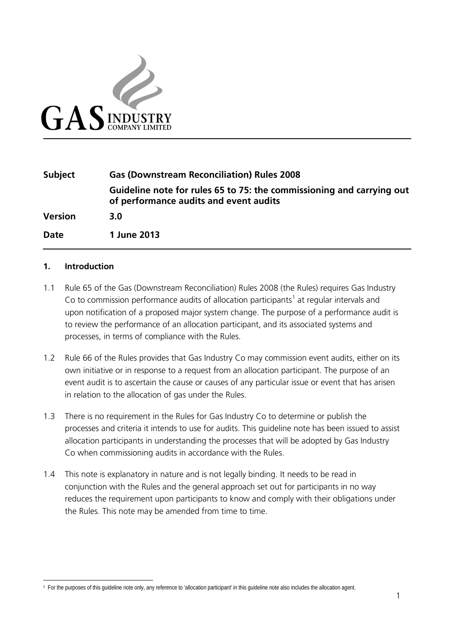

| <b>Subject</b> | <b>Gas (Downstream Reconciliation) Rules 2008</b>                                                               |
|----------------|-----------------------------------------------------------------------------------------------------------------|
|                | Guideline note for rules 65 to 75: the commissioning and carrying out<br>of performance audits and event audits |
| <b>Version</b> | 3.0                                                                                                             |
| Date           | 1 June 2013                                                                                                     |

#### **1. Introduction**

- 1.1 Rule 65 of the Gas (Downstream Reconciliation) Rules 2008 (the Rules) requires Gas Industry Co to commission performance audits of allocation participants<sup>[1](#page-0-0)</sup> at regular intervals and upon notification of a proposed major system change. The purpose of a performance audit is to review the performance of an allocation participant, and its associated systems and processes, in terms of compliance with the Rules.
- 1.2 Rule 66 of the Rules provides that Gas Industry Co may commission event audits, either on its own initiative or in response to a request from an allocation participant. The purpose of an event audit is to ascertain the cause or causes of any particular issue or event that has arisen in relation to the allocation of gas under the Rules.
- 1.3 There is no requirement in the Rules for Gas Industry Co to determine or publish the processes and criteria it intends to use for audits. This guideline note has been issued to assist allocation participants in understanding the processes that will be adopted by Gas Industry Co when commissioning audits in accordance with the Rules.
- 1.4 This note is explanatory in nature and is not legally binding. It needs to be read in conjunction with the Rules and the general approach set out for participants in no way reduces the requirement upon participants to know and comply with their obligations under the Rules. This note may be amended from time to time.

<span id="page-0-0"></span><sup>-</sup><sup>1</sup> For the purposes of this guideline note only, any reference to 'allocation participant' in this guideline note also includes the allocation agent.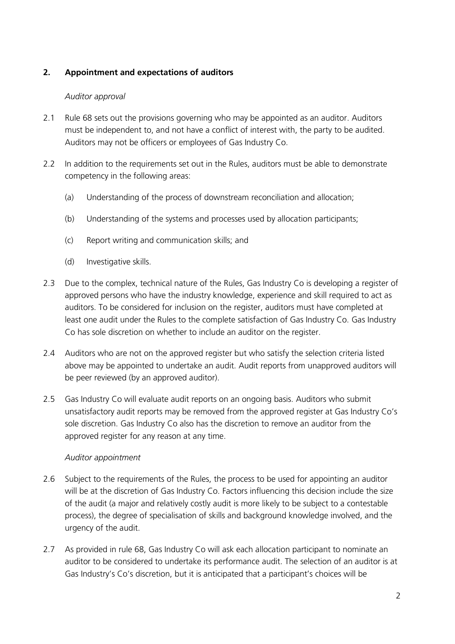# **2. Appointment and expectations of auditors**

#### *Auditor approval*

- 2.1 Rule 68 sets out the provisions governing who may be appointed as an auditor. Auditors must be independent to, and not have a conflict of interest with, the party to be audited. Auditors may not be officers or employees of Gas Industry Co.
- 2.2 In addition to the requirements set out in the Rules, auditors must be able to demonstrate competency in the following areas:
	- (a) Understanding of the process of downstream reconciliation and allocation;
	- (b) Understanding of the systems and processes used by allocation participants;
	- (c) Report writing and communication skills; and
	- (d) Investigative skills.
- 2.3 Due to the complex, technical nature of the Rules, Gas Industry Co is developing a register of approved persons who have the industry knowledge, experience and skill required to act as auditors. To be considered for inclusion on the register, auditors must have completed at least one audit under the Rules to the complete satisfaction of Gas Industry Co. Gas Industry Co has sole discretion on whether to include an auditor on the register.
- 2.4 Auditors who are not on the approved register but who satisfy the selection criteria listed above may be appointed to undertake an audit. Audit reports from unapproved auditors will be peer reviewed (by an approved auditor).
- 2.5 Gas Industry Co will evaluate audit reports on an ongoing basis. Auditors who submit unsatisfactory audit reports may be removed from the approved register at Gas Industry Co's sole discretion. Gas Industry Co also has the discretion to remove an auditor from the approved register for any reason at any time.

### *Auditor appointment*

- 2.6 Subject to the requirements of the Rules, the process to be used for appointing an auditor will be at the discretion of Gas Industry Co. Factors influencing this decision include the size of the audit (a major and relatively costly audit is more likely to be subject to a contestable process), the degree of specialisation of skills and background knowledge involved, and the urgency of the audit.
- 2.7 As provided in rule 68, Gas Industry Co will ask each allocation participant to nominate an auditor to be considered to undertake its performance audit. The selection of an auditor is at Gas Industry's Co's discretion, but it is anticipated that a participant's choices will be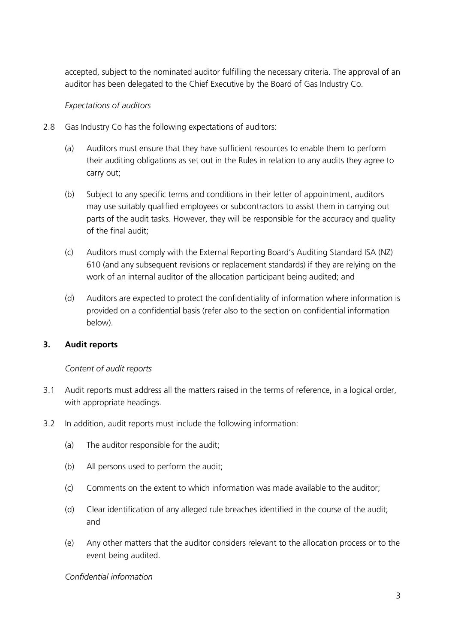accepted, subject to the nominated auditor fulfilling the necessary criteria. The approval of an auditor has been delegated to the Chief Executive by the Board of Gas Industry Co.

### *Expectations of auditors*

- 2.8 Gas Industry Co has the following expectations of auditors:
	- (a) Auditors must ensure that they have sufficient resources to enable them to perform their auditing obligations as set out in the Rules in relation to any audits they agree to carry out;
	- (b) Subject to any specific terms and conditions in their letter of appointment, auditors may use suitably qualified employees or subcontractors to assist them in carrying out parts of the audit tasks. However, they will be responsible for the accuracy and quality of the final audit;
	- (c) Auditors must comply with the External Reporting Board's Auditing Standard ISA (NZ) 610 (and any subsequent revisions or replacement standards) if they are relying on the work of an internal auditor of the allocation participant being audited; and
	- (d) Auditors are expected to protect the confidentiality of information where information is provided on a confidential basis (refer also to the section on confidential information below).

### **3. Audit reports**

### *Content of audit reports*

- 3.1 Audit reports must address all the matters raised in the terms of reference, in a logical order, with appropriate headings.
- 3.2 In addition, audit reports must include the following information:
	- (a) The auditor responsible for the audit;
	- (b) All persons used to perform the audit;
	- (c) Comments on the extent to which information was made available to the auditor;
	- (d) Clear identification of any alleged rule breaches identified in the course of the audit; and
	- (e) Any other matters that the auditor considers relevant to the allocation process or to the event being audited.

*Confidential information*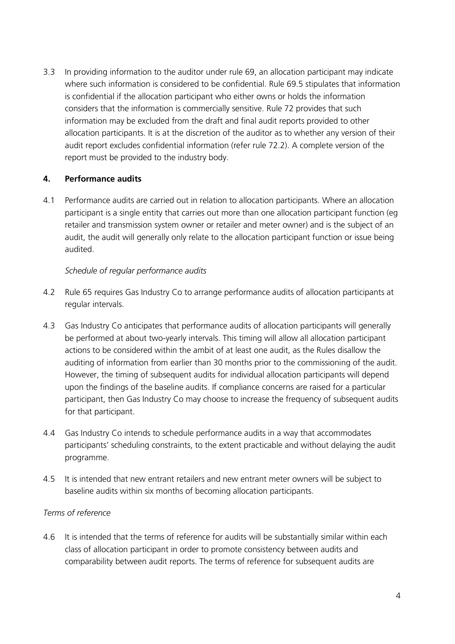3.3 In providing information to the auditor under rule 69, an allocation participant may indicate where such information is considered to be confidential. Rule 69.5 stipulates that information is confidential if the allocation participant who either owns or holds the information considers that the information is commercially sensitive. Rule 72 provides that such information may be excluded from the draft and final audit reports provided to other allocation participants. It is at the discretion of the auditor as to whether any version of their audit report excludes confidential information (refer rule 72.2). A complete version of the report must be provided to the industry body.

## **4. Performance audits**

4.1 Performance audits are carried out in relation to allocation participants. Where an allocation participant is a single entity that carries out more than one allocation participant function (eg retailer and transmission system owner or retailer and meter owner) and is the subject of an audit, the audit will generally only relate to the allocation participant function or issue being audited.

## *Schedule of regular performance audits*

- 4.2 Rule 65 requires Gas Industry Co to arrange performance audits of allocation participants at regular intervals.
- 4.3 Gas Industry Co anticipates that performance audits of allocation participants will generally be performed at about two-yearly intervals. This timing will allow all allocation participant actions to be considered within the ambit of at least one audit, as the Rules disallow the auditing of information from earlier than 30 months prior to the commissioning of the audit. However, the timing of subsequent audits for individual allocation participants will depend upon the findings of the baseline audits. If compliance concerns are raised for a particular participant, then Gas Industry Co may choose to increase the frequency of subsequent audits for that participant.
- 4.4 Gas Industry Co intends to schedule performance audits in a way that accommodates participants' scheduling constraints, to the extent practicable and without delaying the audit programme.
- 4.5 It is intended that new entrant retailers and new entrant meter owners will be subject to baseline audits within six months of becoming allocation participants.

### *Terms of reference*

4.6 It is intended that the terms of reference for audits will be substantially similar within each class of allocation participant in order to promote consistency between audits and comparability between audit reports. The terms of reference for subsequent audits are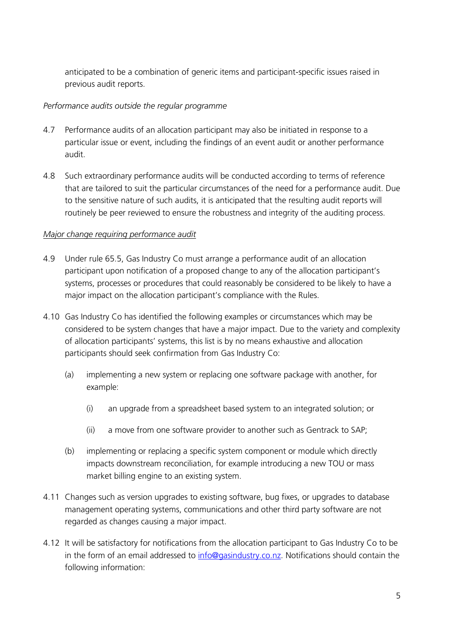anticipated to be a combination of generic items and participant-specific issues raised in previous audit reports.

## *Performance audits outside the regular programme*

- 4.7 Performance audits of an allocation participant may also be initiated in response to a particular issue or event, including the findings of an event audit or another performance audit.
- 4.8 Such extraordinary performance audits will be conducted according to terms of reference that are tailored to suit the particular circumstances of the need for a performance audit. Due to the sensitive nature of such audits, it is anticipated that the resulting audit reports will routinely be peer reviewed to ensure the robustness and integrity of the auditing process.

### *Major change requiring performance audit*

- 4.9 Under rule 65.5, Gas Industry Co must arrange a performance audit of an allocation participant upon notification of a proposed change to any of the allocation participant's systems, processes or procedures that could reasonably be considered to be likely to have a major impact on the allocation participant's compliance with the Rules.
- 4.10 Gas Industry Co has identified the following examples or circumstances which may be considered to be system changes that have a major impact. Due to the variety and complexity of allocation participants' systems, this list is by no means exhaustive and allocation participants should seek confirmation from Gas Industry Co:
	- (a) implementing a new system or replacing one software package with another, for example:
		- (i) an upgrade from a spreadsheet based system to an integrated solution; or
		- (ii) a move from one software provider to another such as Gentrack to SAP;
	- (b) implementing or replacing a specific system component or module which directly impacts downstream reconciliation, for example introducing a new TOU or mass market billing engine to an existing system.
- 4.11 Changes such as version upgrades to existing software, bug fixes, or upgrades to database management operating systems, communications and other third party software are not regarded as changes causing a major impact.
- 4.12 It will be satisfactory for notifications from the allocation participant to Gas Industry Co to be in the form of an email addressed to [info@gasindustry.co.nz.](mailto:info@gasindustry.co.nz) Notifications should contain the following information: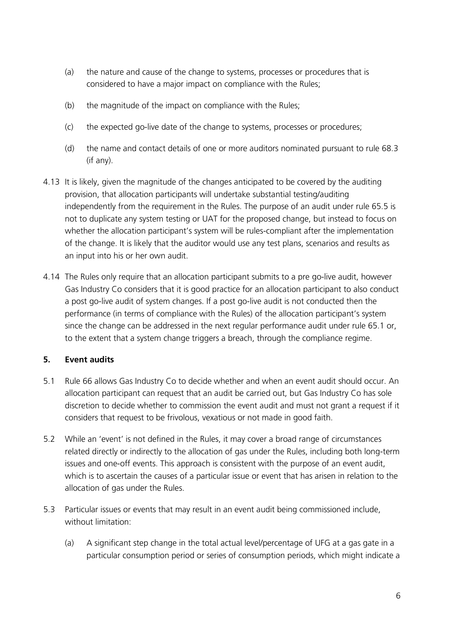- (a) the nature and cause of the change to systems, processes or procedures that is considered to have a major impact on compliance with the Rules;
- (b) the magnitude of the impact on compliance with the Rules;
- (c) the expected go-live date of the change to systems, processes or procedures;
- (d) the name and contact details of one or more auditors nominated pursuant to rule 68.3 (if any).
- 4.13 It is likely, given the magnitude of the changes anticipated to be covered by the auditing provision, that allocation participants will undertake substantial testing/auditing independently from the requirement in the Rules. The purpose of an audit under rule 65.5 is not to duplicate any system testing or UAT for the proposed change, but instead to focus on whether the allocation participant's system will be rules-compliant after the implementation of the change. It is likely that the auditor would use any test plans, scenarios and results as an input into his or her own audit.
- 4.14 The Rules only require that an allocation participant submits to a pre go-live audit, however Gas Industry Co considers that it is good practice for an allocation participant to also conduct a post go-live audit of system changes. If a post go-live audit is not conducted then the performance (in terms of compliance with the Rules) of the allocation participant's system since the change can be addressed in the next regular performance audit under rule 65.1 or, to the extent that a system change triggers a breach, through the compliance regime.

# **5. Event audits**

- 5.1 Rule 66 allows Gas Industry Co to decide whether and when an event audit should occur. An allocation participant can request that an audit be carried out, but Gas Industry Co has sole discretion to decide whether to commission the event audit and must not grant a request if it considers that request to be frivolous, vexatious or not made in good faith.
- 5.2 While an 'event' is not defined in the Rules, it may cover a broad range of circumstances related directly or indirectly to the allocation of gas under the Rules, including both long-term issues and one-off events. This approach is consistent with the purpose of an event audit, which is to ascertain the causes of a particular issue or event that has arisen in relation to the allocation of gas under the Rules.
- 5.3 Particular issues or events that may result in an event audit being commissioned include, without limitation:
	- (a) A significant step change in the total actual level/percentage of UFG at a gas gate in a particular consumption period or series of consumption periods, which might indicate a